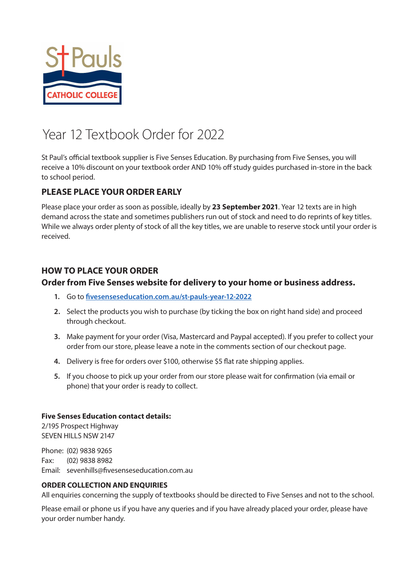

# Year 12 Textbook Order for 2022

St Paul's official textbook supplier is Five Senses Education. By purchasing from Five Senses, you will receive a 10% discount on your textbook order AND 10% off study guides purchased in-store in the back to school period.

### **PLEASE PLACE YOUR ORDER EARLY**

Please place your order as soon as possible, ideally by **23 September 2021**. Year 12 texts are in high demand across the state and sometimes publishers run out of stock and need to do reprints of key titles. While we always order plenty of stock of all the key titles, we are unable to reserve stock until your order is received.

### **HOW TO PLACE YOUR ORDER**

### **Order from Five Senses website for delivery to your home or business address.**

- **1.** Go to **[fivesenseseducation.com.au/st-pauls-year-12-2022](https://fivesenseseducation.com.au/st-pauls-year-12-2022)**
- **2.** Select the products you wish to purchase (by ticking the box on right hand side) and proceed through checkout.
- **3.** Make payment for your order (Visa, Mastercard and Paypal accepted). If you prefer to collect your order from our store, please leave a note in the comments section of our checkout page.
- **4.** Delivery is free for orders over \$100, otherwise \$5 flat rate shipping applies.
- **5.** If you choose to pick up your order from our store please wait for confirmation (via email or phone) that your order is ready to collect.

### **Five Senses Education contact details:**

2/195 Prospect Highway SEVEN HILLS NSW 2147

Phone: (02) 9838 9265 Fax: (02) 9838 8982 Email: sevenhills@fivesenseseducation.com.au

### **ORDER COLLECTION AND ENQUIRIES**

All enquiries concerning the supply of textbooks should be directed to Five Senses and not to the school.

Please email or phone us if you have any queries and if you have already placed your order, please have your order number handy.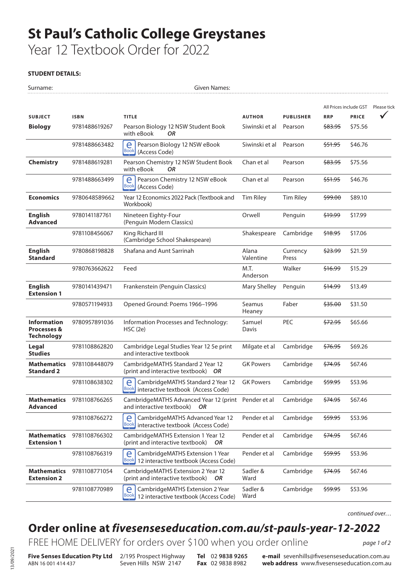# **St Paul's Catholic College Greystanes**

Year 12 Textbook Order for 2022

#### **STUDENT DETAILS:**

| Surname:                                                          |                           | <b>Given Names:</b>                                                                          |                    |                   |                    |                        |             |
|-------------------------------------------------------------------|---------------------------|----------------------------------------------------------------------------------------------|--------------------|-------------------|--------------------|------------------------|-------------|
|                                                                   |                           |                                                                                              |                    |                   |                    | All Prices include GST | Please tick |
| <b>SUBJECT</b>                                                    | <b>ISBN</b>               | <b>TITLE</b>                                                                                 | <b>AUTHOR</b>      | <b>PUBLISHER</b>  | <b>RRP</b>         | <b>PRICE</b>           |             |
| <b>Biology</b>                                                    | 9781488619267             | Pearson Biology 12 NSW Student Book<br>with eBook<br><b>OR</b>                               | Siwinski et al     | Pearson           | <del>\$83.95</del> | \$75.56                |             |
|                                                                   | 9781488663482             | e<br>Pearson Biology 12 NSW eBook<br><b>Book</b><br>(Access Code)                            | Siwinski et al     | Pearson           | <del>\$51.95</del> | \$46.76                |             |
| <b>Chemistry</b>                                                  | 9781488619281             | Pearson Chemistry 12 NSW Student Book<br>with eBook<br><b>OR</b>                             | Chan et al         | Pearson           | <del>\$83.95</del> | \$75.56                |             |
|                                                                   | 9781488663499             | Pearson Chemistry 12 NSW eBook<br>e<br>Book (Access Code)                                    | Chan et al         | Pearson           | <del>\$51.95</del> | \$46.76                |             |
| <b>Economics</b>                                                  | 9780648589662             | Year 12 Economics 2022 Pack (Textbook and<br>Workbook)                                       | <b>Tim Riley</b>   | <b>Tim Riley</b>  | <del>\$99.00</del> | \$89.10                |             |
| <b>English</b><br><b>Advanced</b>                                 | 9780141187761             | Nineteen Eighty-Four<br>(Penguin Modern Classics)                                            | Orwell             | Penguin           | <del>\$19.99</del> | \$17.99                |             |
|                                                                   | 9781108456067             | King Richard III<br>(Cambridge School Shakespeare)                                           | Shakespeare        | Cambridge         | <del>\$18.95</del> | \$17.06                |             |
| <b>English</b><br><b>Standard</b>                                 | 9780868198828             | Shafana and Aunt Sarrinah                                                                    | Alana<br>Valentine | Currency<br>Press | <del>\$23.99</del> | \$21.59                |             |
|                                                                   | 9780763662622             | Feed                                                                                         | M.T.<br>Anderson   | Walker            | <del>\$16.99</del> | \$15.29                |             |
| <b>English</b><br><b>Extension 1</b>                              | 9780141439471             | Frankenstein (Penguin Classics)                                                              | Mary Shelley       | Penguin           | <del>\$14.99</del> | \$13.49                |             |
|                                                                   | 9780571194933             | Opened Ground: Poems 1966-1996                                                               | Seamus<br>Heaney   | Faber             | <del>\$35.00</del> | \$31.50                |             |
| <b>Information</b><br><b>Processes &amp;</b><br><b>Technology</b> | 9780957891036             | Information Processes and Technology:<br>HSC(2e)                                             | Samuel<br>Davis    | PEC               | \$72.95            | \$65.66                |             |
| Legal<br><b>Studies</b>                                           | 9781108862820             | Cambridge Legal Studies Year 12 5e print<br>and interactive textbook                         | Milgate et al      | Cambridge         | <del>\$76.95</del> | \$69.26                |             |
| Mathematics<br><b>Standard 2</b>                                  | 9781108448079             | CambridgeMATHS Standard 2 Year 12<br>(print and interactive textbook) OR                     | <b>GK Powers</b>   | Cambridge         | \$74.95            | \$67.46                |             |
|                                                                   | 9781108638302             | e<br>CambridgeMATHS Standard 2 Year 12<br><b>Book</b><br>interactive textbook (Access Code)  | <b>GK Powers</b>   | Cambridge         | <del>\$59.95</del> | \$53.96                |             |
| <b>Advanced</b>                                                   | Mathematics 9781108766265 | CambridgeMATHS Advanced Year 12 (print Pender et al<br>and interactive textbook)<br>OR.      |                    | Cambridge         | \$74.95            | \$67.46                |             |
|                                                                   | 9781108766272             | e<br>CambridgeMATHS Advanced Year 12<br>Book<br>interactive textbook (Access Code)           | Pender et al       | Cambridge         | \$59.95            | \$53.96                |             |
| <b>Mathematics</b><br><b>Extension 1</b>                          | 9781108766302             | CambridgeMATHS Extension 1 Year 12<br>(print and interactive textbook)<br>OR                 | Pender et al       | Cambridge         | \$74.95            | \$67.46                |             |
|                                                                   | 9781108766319             | e<br>CambridgeMATHS Extension 1 Year<br>Book<br>12 interactive textbook (Access Code)        | Pender et al       | Cambridge         | \$59.95            | \$53.96                |             |
| <b>Mathematics</b><br><b>Extension 2</b>                          | 9781108771054             | CambridgeMATHS Extension 2 Year 12<br>(print and interactive textbook)<br>OR                 | Sadler &<br>Ward   | Cambridge         | \$74.95            | \$67.46                |             |
|                                                                   | 9781108770989             | CambridgeMATHS Extension 2 Year<br>e<br><b>Book</b><br>12 interactive textbook (Access Code) | Sadler &<br>Ward   | Cambridge         | \$59.95            | \$53.96                |             |

*continued over…*

## **Order online at** *[fivesenseseducation.com.au/st-pauls-year-12-2022](https://fivesenseseducation.com.au/st-pauls-year-12-2022)*

FREE HOME DELIVERY for orders over \$100 when you order online

*page 1 of 2*

ABN 16 001 414 437

**Five Senses Education Pty Ltd** 2/195 Prospect Highway Seven Hills NSW 2147

**Tel** 02 **9838 9265 Fax** 02 9838 8982

**e-mail** sevenhills@fivesenseseducation.com.au **web address** www.fivesenseseducation.com.au